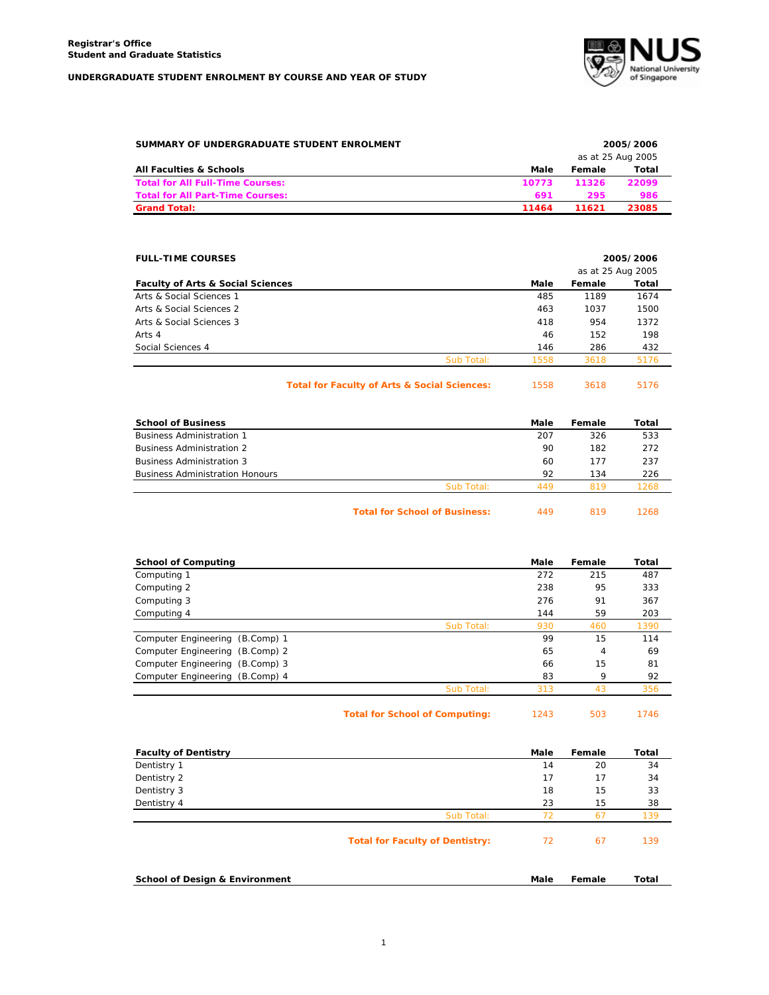

| SUMMARY OF UNDERGRADUATE STUDENT ENROLMENT | 2005/2006<br>as at 25 Aug 2005 |        |       |
|--------------------------------------------|--------------------------------|--------|-------|
| All Faculties & Schools                    | Male                           | Female | Total |
| <b>Total for All Full-Time Courses:</b>    | 10773                          | 11326  | 22099 |
| <b>Total for All Part-Time Courses:</b>    | 691                            | 295    | 986   |
| <b>Grand Total:</b>                        | 11464                          | 11621  | 23085 |

| <b>FULL-TIME COURSES</b>                     |            | 2005/2006<br>as at 25 Aug 2005 |        |       |
|----------------------------------------------|------------|--------------------------------|--------|-------|
| <b>Faculty of Arts &amp; Social Sciences</b> |            | Male                           | Female | Total |
| Arts & Social Sciences 1                     |            | 485                            | 1189   | 1674  |
| Arts & Social Sciences 2                     |            | 463                            | 1037   | 1500  |
| Arts & Social Sciences 3                     |            | 418                            | 954    | 1372  |
| Arts 4                                       |            | 46                             | 152    | 198   |
| Social Sciences 4                            |            | 146                            | 286    | 432   |
|                                              | Sub Total: | 1558                           | 3618   | 5176  |

Total for Faculty of Arts & Social Sciences: 1558 3618 5176

| <b>School of Business</b>              |                                      | Male | Female | Total |
|----------------------------------------|--------------------------------------|------|--------|-------|
| <b>Business Administration 1</b>       |                                      | 207  | 326    | 533   |
| <b>Business Administration 2</b>       |                                      | 90   | 182    | 272   |
| <b>Business Administration 3</b>       |                                      | 60   | 177    | 237   |
| <b>Business Administration Honours</b> |                                      | 92   | 134    | 226   |
|                                        | Sub Total:                           | 449  | 819    | 1268  |
|                                        | <b>Total for School of Business:</b> | 449  | 819    | 1268  |

| <b>School of Computing</b>      | Male | Female | Total |
|---------------------------------|------|--------|-------|
| Computing 1                     | 272  | 215    | 487   |
| Computing 2                     | 238  | 95     | 333   |
| Computing 3                     | 276  | 91     | 367   |
| Computing 4                     | 144  | 59     | 203   |
| Sub Total:                      | 930  | 460    | 1390  |
| Computer Engineering (B.Comp) 1 | 99   | 15     | 114   |
| Computer Engineering (B.Comp) 2 | 65   | 4      | 69    |
| Computer Engineering (B.Comp) 3 | 66   | 15     | 81    |
| Computer Engineering (B.Comp) 4 | 83   | 9      | 92    |
| Sub Total:                      | 313  | 43     | 356   |

| <b>Total for School of Computing:</b> | 1243 | 503 | 1746 |
|---------------------------------------|------|-----|------|
|---------------------------------------|------|-----|------|

| <b>Faculty of Dentistry</b>               |                                        | Male | Female | Total |
|-------------------------------------------|----------------------------------------|------|--------|-------|
| Dentistry 1                               |                                        | 14   | 20     | 34    |
| Dentistry 2                               |                                        | 17   | 17     | 34    |
| Dentistry 3                               |                                        | 18   | 15     | 33    |
| Dentistry 4                               |                                        | 23   | 15     | 38    |
|                                           | Sub Total:                             | 72   | 67     | 139   |
|                                           | <b>Total for Faculty of Dentistry:</b> | 72   | 67     | 139   |
| <b>School of Design &amp; Environment</b> |                                        | Male | Female | Total |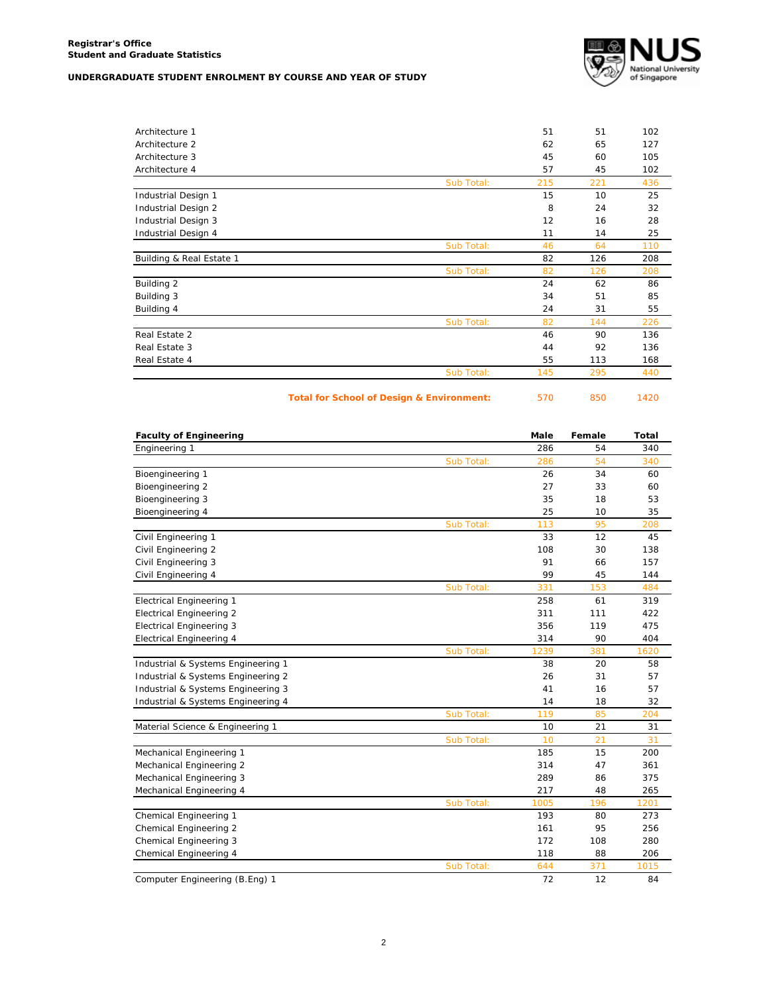

| Architecture 1           |            | 51  | 51  | 102 |
|--------------------------|------------|-----|-----|-----|
| Architecture 2           |            | 62  | 65  | 127 |
| Architecture 3           |            | 45  | 60  | 105 |
| Architecture 4           |            | 57  | 45  | 102 |
|                          | Sub Total: | 215 | 221 | 436 |
| Industrial Design 1      |            | 15  | 10  | 25  |
| Industrial Design 2      |            | 8   | 24  | 32  |
| Industrial Design 3      |            | 12  | 16  | 28  |
| Industrial Design 4      |            | 11  | 14  | 25  |
|                          | Sub Total: | 46  | 64  | 110 |
| Building & Real Estate 1 |            | 82  | 126 | 208 |
|                          | Sub Total: | 82  | 126 | 208 |
| Building 2               |            | 24  | 62  | 86  |
| Building 3               |            | 34  | 51  | 85  |
| Building 4               |            | 24  | 31  | 55  |
|                          | Sub Total: | 82  | 144 | 226 |
| Real Estate 2            |            | 46  | 90  | 136 |
| Real Estate 3            |            | 44  | 92  | 136 |
| Real Estate 4            |            | 55  | 113 | 168 |
|                          | Sub Total: | 145 | 295 | 440 |
|                          |            |     |     |     |

Total for School of Design & Environment: 570 850 1420

| <b>Faculty of Engineering</b>      |            | Male | Female | <b>Total</b> |
|------------------------------------|------------|------|--------|--------------|
| Engineering 1                      |            | 286  | 54     | 340          |
|                                    | Sub Total: | 286  | 54     | 340          |
| Bioengineering 1                   |            | 26   | 34     | 60           |
| Bioengineering 2                   |            | 27   | 33     | 60           |
| Bioengineering 3                   |            | 35   | 18     | 53           |
| Bioengineering 4                   |            | 25   | 10     | 35           |
|                                    | Sub Total: | 113  | 95     | 208          |
| Civil Engineering 1                |            | 33   | 12     | 45           |
| Civil Engineering 2                |            | 108  | 30     | 138          |
| Civil Engineering 3                |            | 91   | 66     | 157          |
| Civil Engineering 4                |            | 99   | 45     | 144          |
|                                    | Sub Total: | 331  | 153    | 484          |
| <b>Electrical Engineering 1</b>    |            | 258  | 61     | 319          |
| <b>Electrical Engineering 2</b>    |            | 311  | 111    | 422          |
| <b>Electrical Engineering 3</b>    |            | 356  | 119    | 475          |
| Electrical Engineering 4           |            | 314  | 90     | 404          |
|                                    | Sub Total: | 1239 | 381    | 1620         |
| Industrial & Systems Engineering 1 |            | 38   | 20     | 58           |
| Industrial & Systems Engineering 2 |            | 26   | 31     | 57           |
| Industrial & Systems Engineering 3 |            | 41   | 16     | 57           |
| Industrial & Systems Engineering 4 |            | 14   | 18     | 32           |
|                                    | Sub Total: | 119  | 85     | 204          |
| Material Science & Engineering 1   |            | 10   | 21     | 31           |
|                                    | Sub Total: | 10   | 21     | 31           |
| Mechanical Engineering 1           |            | 185  | 15     | 200          |
| Mechanical Engineering 2           |            | 314  | 47     | 361          |
| Mechanical Engineering 3           |            | 289  | 86     | 375          |
| Mechanical Engineering 4           |            | 217  | 48     | 265          |
|                                    | Sub Total: | 1005 | 196    | 1201         |
| Chemical Engineering 1             |            | 193  | 80     | 273          |
| Chemical Engineering 2             |            | 161  | 95     | 256          |
| Chemical Engineering 3             |            | 172  | 108    | 280          |
| Chemical Engineering 4             |            | 118  | 88     | 206          |
|                                    | Sub Total: | 644  | 371    | 1015         |
| Computer Engineering (B.Eng) 1     |            | 72   | 12     | 84           |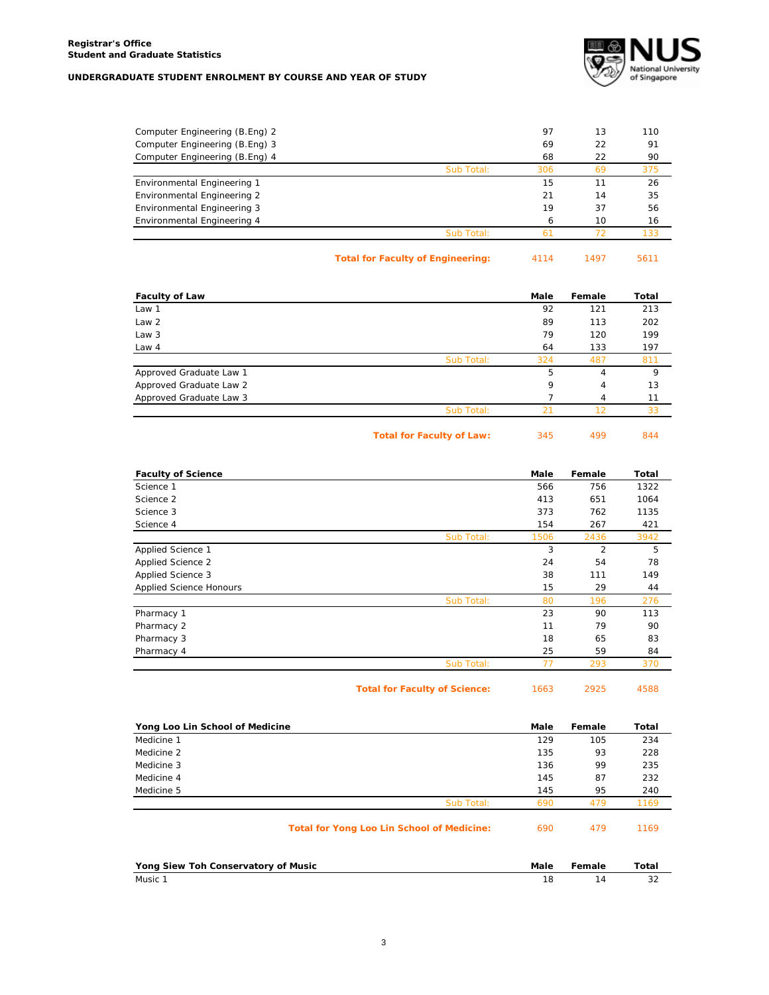

| Computer Engineering (B.Eng) 2 |            | 97  | 13 | 110 |
|--------------------------------|------------|-----|----|-----|
| Computer Engineering (B.Eng) 3 |            | 69  | 22 | 91  |
| Computer Engineering (B.Eng) 4 |            | 68  | 22 | 90  |
|                                | Sub Total: | 306 | 69 | 375 |
| Environmental Engineering 1    |            | 15  |    | 26  |
| Environmental Engineering 2    |            | 21  | 14 | 35  |
| Environmental Engineering 3    |            | 19  | 37 | 56  |
| Environmental Engineering 4    |            | 6   | 10 | 16  |
|                                | Sub Total: | 61  |    | 133 |
|                                |            |     |    |     |

| <b>Total for Faculty of Engineering:</b> | 5611 |
|------------------------------------------|------|
| 4114                                     | 1497 |

| <b>Faculty of Law</b>   |            | Male | Female | Total |
|-------------------------|------------|------|--------|-------|
| Law 1                   |            | 92   | 121    | 213   |
| Law 2                   |            | 89   | 113    | 202   |
| Law 3                   |            | 79   | 120    | 199   |
| Law 4                   |            | 64   | 133    | 197   |
|                         | Sub Total: | 324  | 487    | 811   |
| Approved Graduate Law 1 |            | 5    | 4      | 9     |
| Approved Graduate Law 2 |            | 9    | 4      | 13    |
| Approved Graduate Law 3 |            |      | 4      | 11    |
|                         | Sub Total: | 21   | 12     | 33    |
|                         |            |      |        |       |

| <b>Total for Faculty of Law:</b> | 345 | 499 | 844 |
|----------------------------------|-----|-----|-----|
|----------------------------------|-----|-----|-----|

| <b>Faculty of Science</b>      |            | Male | Female         | Total |
|--------------------------------|------------|------|----------------|-------|
| Science 1                      |            | 566  | 756            | 1322  |
| Science 2                      |            | 413  | 651            | 1064  |
| Science 3                      |            | 373  | 762            | 1135  |
| Science 4                      |            | 154  | 267            | 421   |
|                                | Sub Total: | 1506 | 2436           | 3942  |
| Applied Science 1              |            | 3    | $\overline{2}$ | 5     |
| <b>Applied Science 2</b>       |            | 24   | 54             | 78    |
| Applied Science 3              |            | 38   | 111            | 149   |
| <b>Applied Science Honours</b> |            | 15   | 29             | 44    |
|                                | Sub Total: | 80   | 196            | 276   |
| Pharmacy 1                     |            | 23   | 90             | 113   |
| Pharmacy 2                     |            | 11   | 79             | 90    |
| Pharmacy 3                     |            | 18   | 65             | 83    |
| Pharmacy 4                     |            | 25   | 59             | 84    |
|                                | Sub Total: | 77   | 293            | 370   |

| <b>Total for Faculty of Science:</b> | 1663 | 2925 | 4588 |
|--------------------------------------|------|------|------|
|                                      |      |      |      |

| ___ |  |
|-----|--|
|     |  |
|     |  |

| Yong Loo Lin School of Medicine                   | Male | Female | Total |
|---------------------------------------------------|------|--------|-------|
| Medicine 1                                        | 129  | 105    | 234   |
| Medicine 2                                        | 135  | 93     | 228   |
| Medicine 3                                        | 136  | 99     | 235   |
| Medicine 4                                        | 145  | 87     | 232   |
| Medicine 5                                        | 145  | 95     | 240   |
| Sub Total:                                        | 690  | 479    | 1169  |
| <b>Total for Yong Loo Lin School of Medicine:</b> | 690  | 479    | 1169  |
| Yong Siew Toh Conservatory of Music               | Male | Female | Total |
| Music 1                                           | 18   | 14     | 32    |